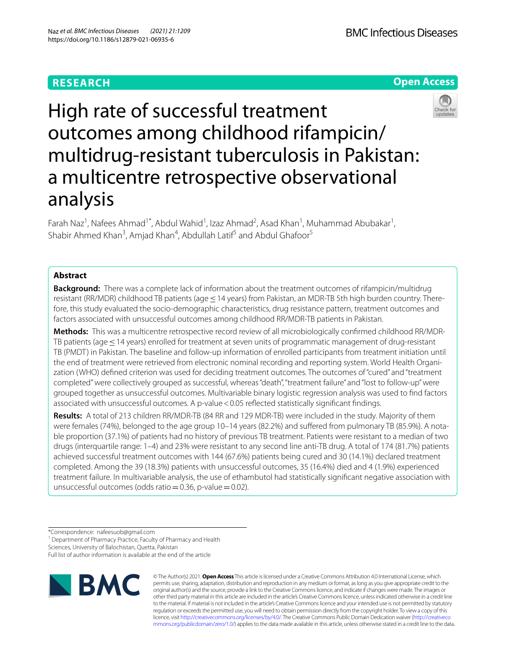# **RESEARCH**

**BMC Infectious Diseases** 





High rate of successful treatment outcomes among childhood rifampicin/ multidrug-resistant tuberculosis in Pakistan: a multicentre retrospective observational analysis

Farah Naz<sup>1</sup>, Nafees Ahmad<sup>1\*</sup>, Abdul Wahid<sup>1</sup>, Izaz Ahmad<sup>2</sup>, Asad Khan<sup>1</sup>, Muhammad Abubakar<sup>1</sup>, Shabir Ahmed Khan<sup>3</sup>, Amjad Khan<sup>4</sup>, Abdullah Latif<sup>5</sup> and Abdul Ghafoor<sup>5</sup>

## **Abstract**

**Background:** There was a complete lack of information about the treatment outcomes of rifampicin/multidrug resistant (RR/MDR) childhood TB patients (age ≤ 14 years) from Pakistan, an MDR-TB 5th high burden country. Therefore, this study evaluated the socio-demographic characteristics, drug resistance pattern, treatment outcomes and factors associated with unsuccessful outcomes among childhood RR/MDR-TB patients in Pakistan.

**Methods:** This was a multicentre retrospective record review of all microbiologically confrmed childhood RR/MDR-TB patients (age ≤ 14 years) enrolled for treatment at seven units of programmatic management of drug-resistant TB (PMDT) in Pakistan. The baseline and follow-up information of enrolled participants from treatment initiation until the end of treatment were retrieved from electronic nominal recording and reporting system. World Health Organization (WHO) defned criterion was used for deciding treatment outcomes. The outcomes of "cured" and "treatment completed" were collectively grouped as successful, whereas "death", "treatment failure" and "lost to follow-up" were grouped together as unsuccessful outcomes. Multivariable binary logistic regression analysis was used to fnd factors associated with unsuccessful outcomes. A p-value < 0.05 reflected statistically significant findings.

**Results:** A total of 213 children RR/MDR-TB (84 RR and 129 MDR-TB) were included in the study. Majority of them were females (74%), belonged to the age group 10–14 years (82.2%) and sufered from pulmonary TB (85.9%). A notable proportion (37.1%) of patients had no history of previous TB treatment. Patients were resistant to a median of two drugs (interquartile range: 1–4) and 23% were resistant to any second line anti-TB drug. A total of 174 (81.7%) patients achieved successful treatment outcomes with 144 (67.6%) patients being cured and 30 (14.1%) declared treatment completed. Among the 39 (18.3%) patients with unsuccessful outcomes, 35 (16.4%) died and 4 (1.9%) experienced treatment failure. In multivariable analysis, the use of ethambutol had statistically signifcant negative association with unsuccessful outcomes (odds ratio=0.36, p-value=0.02).

<sup>1</sup> Department of Pharmacy Practice, Faculty of Pharmacy and Health

Sciences, University of Balochistan, Quetta, Pakistan

Full list of author information is available at the end of the article



© The Author(s) 2021. **Open Access** This article is licensed under a Creative Commons Attribution 4.0 International License, which permits use, sharing, adaptation, distribution and reproduction in any medium or format, as long as you give appropriate credit to the original author(s) and the source, provide a link to the Creative Commons licence, and indicate if changes were made. The images or other third party material in this article are included in the article's Creative Commons licence, unless indicated otherwise in a credit line to the material. If material is not included in the article's Creative Commons licence and your intended use is not permitted by statutory regulation or exceeds the permitted use, you will need to obtain permission directly from the copyright holder. To view a copy of this licence, visit [http://creativecommons.org/licenses/by/4.0/.](http://creativecommons.org/licenses/by/4.0/) The Creative Commons Public Domain Dedication waiver ([http://creativeco](http://creativecommons.org/publicdomain/zero/1.0/) [mmons.org/publicdomain/zero/1.0/](http://creativecommons.org/publicdomain/zero/1.0/)) applies to the data made available in this article, unless otherwise stated in a credit line to the data.

<sup>\*</sup>Correspondence: nafeesuob@gmail.com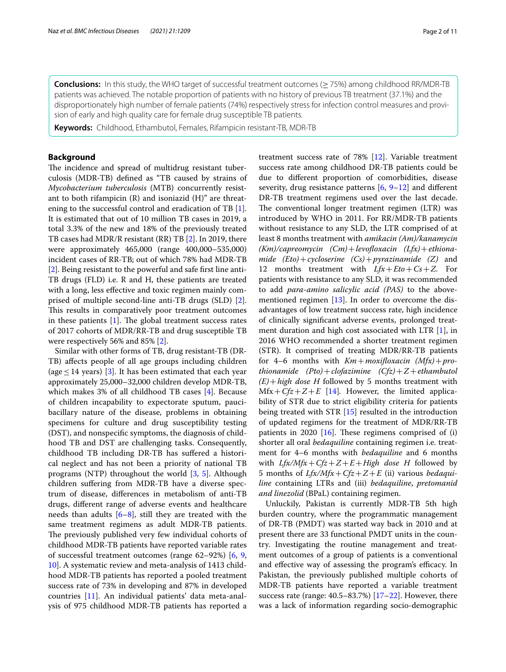**Conclusions:** In this study, the WHO target of successful treatment outcomes (≥75%) among childhood RR/MDR-TB patients was achieved. The notable proportion of patients with no history of previous TB treatment (37.1%) and the disproportionately high number of female patients (74%) respectively stress for infection control measures and provision of early and high quality care for female drug susceptible TB patients.

**Keywords:** Childhood, Ethambutol, Females, Rifampicin resistant-TB, MDR-TB

### **Background**

The incidence and spread of multidrug resistant tuberculosis (MDR-TB) defned as "TB caused by strains of *Mycobacterium tuberculosis* (MTB) concurrently resistant to both rifampicin (R) and isoniazid (H)" are threatening to the successful control and eradication of TB [\[1](#page-9-0)]. It is estimated that out of 10 million TB cases in 2019, a total 3.3% of the new and 18% of the previously treated TB cases had MDR/R resistant (RR) TB [[2\]](#page-9-1). In 2019, there were approximately 465,000 (range 400,000–535,000) incident cases of RR-TB; out of which 78% had MDR-TB [[2\]](#page-9-1). Being resistant to the powerful and safe frst line anti-TB drugs (FLD) i.e. R and H, these patients are treated with a long, less efective and toxic regimen mainly comprised of multiple second-line anti-TB drugs (SLD) [\[2](#page-9-1)]. This results in comparatively poor treatment outcomes in these patients  $[1]$  $[1]$  $[1]$ . The global treatment success rates of 2017 cohorts of MDR/RR-TB and drug susceptible TB were respectively 56% and 85% [[2\]](#page-9-1).

Similar with other forms of TB, drug resistant-TB (DR-TB) afects people of all age groups including children (age  $\leq$  14 years) [[3\]](#page-9-2). It has been estimated that each year approximately 25,000–32,000 children develop MDR-TB, which makes 3% of all childhood TB cases [\[4](#page-9-3)]. Because of children incapability to expectorate sputum, paucibacillary nature of the disease, problems in obtaining specimens for culture and drug susceptibility testing (DST), and nonspecifc symptoms, the diagnosis of childhood TB and DST are challenging tasks. Consequently, childhood TB including DR-TB has sufered a historical neglect and has not been a priority of national TB programs (NTP) throughout the world [\[3,](#page-9-2) [5\]](#page-9-4). Although children sufering from MDR-TB have a diverse spectrum of disease, diferences in metabolism of anti-TB drugs, diferent range of adverse events and healthcare needs than adults  $[6-8]$  $[6-8]$ , still they are treated with the same treatment regimens as adult MDR-TB patients. The previously published very few individual cohorts of childhood MDR-TB patients have reported variable rates of successful treatment outcomes (range 62–92%) [[6,](#page-9-5) [9](#page-9-7), [10\]](#page-9-8). A systematic review and meta-analysis of 1413 childhood MDR-TB patients has reported a pooled treatment success rate of 73% in developing and 87% in developed countries [[11](#page-9-9)]. An individual patients' data meta-analysis of 975 childhood MDR-TB patients has reported a treatment success rate of 78% [[12](#page-10-0)]. Variable treatment success rate among childhood DR-TB patients could be due to diferent proportion of comorbidities, disease severity, drug resistance patterns  $[6, 9-12]$  $[6, 9-12]$  $[6, 9-12]$  $[6, 9-12]$  $[6, 9-12]$  and different DR-TB treatment regimens used over the last decade. The conventional longer treatment regimen (LTR) was introduced by WHO in 2011. For RR/MDR-TB patients without resistance to any SLD, the LTR comprised of at least 8 months treatment with *amikacin (Am)/kanamycin (Km)/capreomycin (Cm)*+*levofoxacin (Lfx)*+*ethionamide (Eto)*+*cycloserine (Cs)*+*pyrazinamide (Z)* and 12 months treatment with *Lfx*+*Eto*+*Cs*+*Z.* For patients with resistance to any SLD, it was recommended to add *para-amino salicylic acid (PAS)* to the abovementioned regimen [\[13](#page-10-1)]. In order to overcome the disadvantages of low treatment success rate, high incidence of clinically signifcant adverse events, prolonged treatment duration and high cost associated with LTR [\[1\]](#page-9-0), in 2016 WHO recommended a shorter treatment regimen (STR). It comprised of treating MDR/RR-TB patients for 4–6 months with *Km*+*moxifoxacin (Mfx)*+*prothionamide (Pto)*+*clofazimine (Cfz)*+*Z*+*ethambutol (E)*+*high dose H* followed by 5 months treatment with  $Mfx + Cfz + Z + E$  [[14](#page-10-2)]*.* However, the limited applicability of STR due to strict eligibility criteria for patients being treated with STR [\[15](#page-10-3)] resulted in the introduction of updated regimens for the treatment of MDR/RR-TB patients in 2020  $[16]$  $[16]$ . These regimens comprised of  $(i)$ shorter all oral *bedaquiline* containing regimen i.e. treatment for 4–6 months with *bedaquiline* and 6 months with  $Lfx/Mfx+Cfz+Z+E+High$  dose *H* followed by 5 months of *Lfx/Mfx*+*Cfz*+*Z*+*E* (ii) various *bedaquiline* containing LTRs and (iii) *bedaquiline*, *pretomanid and linezolid* (BPaL) containing regimen.

Unluckily, Pakistan is currently MDR-TB 5th high burden country, where the programmatic management of DR-TB (PMDT) was started way back in 2010 and at present there are 33 functional PMDT units in the country. Investigating the routine management and treatment outcomes of a group of patients is a conventional and effective way of assessing the program's efficacy. In Pakistan, the previously published multiple cohorts of MDR-TB patients have reported a variable treatment success rate (range: 40.5–83.7%) [[17](#page-10-5)[–22](#page-10-6)]. However, there was a lack of information regarding socio-demographic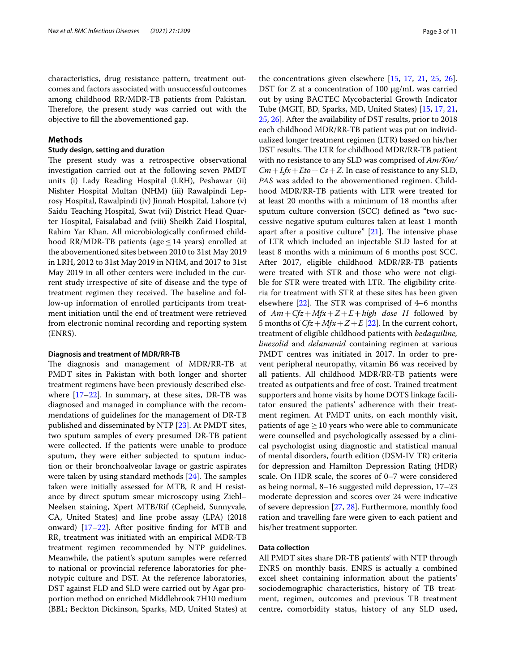characteristics, drug resistance pattern, treatment outcomes and factors associated with unsuccessful outcomes among childhood RR/MDR-TB patients from Pakistan. Therefore, the present study was carried out with the objective to fll the abovementioned gap.

### **Methods**

### **Study design, setting and duration**

The present study was a retrospective observational investigation carried out at the following seven PMDT units (i) Lady Reading Hospital (LRH), Peshawar (ii) Nishter Hospital Multan (NHM) (iii) Rawalpindi Leprosy Hospital, Rawalpindi (iv) Jinnah Hospital, Lahore (v) Saidu Teaching Hospital, Swat (vii) District Head Quarter Hospital, Faisalabad and (viii) Sheikh Zaid Hospital, Rahim Yar Khan. All microbiologically confrmed childhood RR/MDR-TB patients (age  $\leq$  14 years) enrolled at the abovementioned sites between 2010 to 31st May 2019 in LRH, 2012 to 31st May 2019 in NHM, and 2017 to 31st May 2019 in all other centers were included in the current study irrespective of site of disease and the type of treatment regimen they received. The baseline and follow-up information of enrolled participants from treatment initiation until the end of treatment were retrieved from electronic nominal recording and reporting system (ENRS).

### **Diagnosis and treatment of MDR/RR‑TB**

The diagnosis and management of MDR/RR-TB at PMDT sites in Pakistan with both longer and shorter treatment regimens have been previously described elsewhere [[17–](#page-10-5)[22](#page-10-6)]. In summary, at these sites, DR-TB was diagnosed and managed in compliance with the recommendations of guidelines for the management of DR-TB published and disseminated by NTP [[23\]](#page-10-7). At PMDT sites, two sputum samples of every presumed DR-TB patient were collected. If the patients were unable to produce sputum, they were either subjected to sputum induction or their bronchoalveolar lavage or gastric aspirates were taken by using standard methods  $[24]$  $[24]$ . The samples taken were initially assessed for MTB, R and H resistance by direct sputum smear microscopy using Ziehl– Neelsen staining, Xpert MTB/Rif (Cepheid, Sunnyvale, CA, United States) and line probe assay (LPA) (2018 onward) [[17–](#page-10-5)[22\]](#page-10-6). After positive fnding for MTB and RR, treatment was initiated with an empirical MDR-TB treatment regimen recommended by NTP guidelines. Meanwhile, the patient's sputum samples were referred to national or provincial reference laboratories for phenotypic culture and DST. At the reference laboratories, DST against FLD and SLD were carried out by Agar proportion method on enriched Middlebrook 7H10 medium (BBL; Beckton Dickinson, Sparks, MD, United States) at the concentrations given elsewhere [[15](#page-10-3), [17](#page-10-5), [21](#page-10-9), [25](#page-10-10), [26](#page-10-11)]. DST for Z at a concentration of 100 μg/mL was carried out by using BACTEC Mycobacterial Growth Indicator Tube (MGIT, BD, Sparks, MD, United States) [[15,](#page-10-3) [17,](#page-10-5) [21](#page-10-9), [25,](#page-10-10) [26\]](#page-10-11). After the availability of DST results, prior to 2018 each childhood MDR/RR-TB patient was put on individualized longer treatment regimen (LTR) based on his/her DST results. The LTR for childhood MDR/RR-TB patient with no resistance to any SLD was comprised of *Am/Km/*  $Cm + Lfx + Eto + Cs + Z$ . In case of resistance to any SLD, *PAS* was added to the abovementioned regimen. Childhood MDR/RR-TB patients with LTR were treated for at least 20 months with a minimum of 18 months after sputum culture conversion (SCC) defned as "two successive negative sputum cultures taken at least 1 month apart after a positive culture"  $[21]$  $[21]$ . The intensive phase of LTR which included an injectable SLD lasted for at least 8 months with a minimum of 6 months post SCC. After 2017, eligible childhood MDR/RR-TB patients were treated with STR and those who were not eligible for STR were treated with LTR. The eligibility criteria for treatment with STR at these sites has been given elsewhere  $[22]$  $[22]$ . The STR was comprised of 4–6 months of *Am*+*Cfz*+*Mfx*+*Z*+*E*+*high dose H* followed by 5 months of  $Cfz + Mfx + Z + E$  [[22\]](#page-10-6). In the current cohort, treatment of eligible childhood patients with *bedaquiline, linezolid* and *delamanid* containing regimen at various PMDT centres was initiated in 2017. In order to prevent peripheral neuropathy, vitamin B6 was received by all patients. All childhood MDR/RR-TB patients were treated as outpatients and free of cost. Trained treatment supporters and home visits by home DOTS linkage facilitator ensured the patients' adherence with their treatment regimen. At PMDT units, on each monthly visit, patients of age  $\geq$  10 years who were able to communicate were counselled and psychologically assessed by a clinical psychologist using diagnostic and statistical manual of mental disorders, fourth edition (DSM-IV TR) criteria for depression and Hamilton Depression Rating (HDR) scale. On HDR scale, the scores of 0–7 were considered as being normal, 8–16 suggested mild depression, 17–23 moderate depression and scores over 24 were indicative of severe depression [\[27](#page-10-12), [28\]](#page-10-13). Furthermore, monthly food ration and travelling fare were given to each patient and his/her treatment supporter.

### **Data collection**

All PMDT sites share DR-TB patients' with NTP through ENRS on monthly basis. ENRS is actually a combined excel sheet containing information about the patients' sociodemographic characteristics, history of TB treatment, regimen, outcomes and previous TB treatment centre, comorbidity status, history of any SLD used,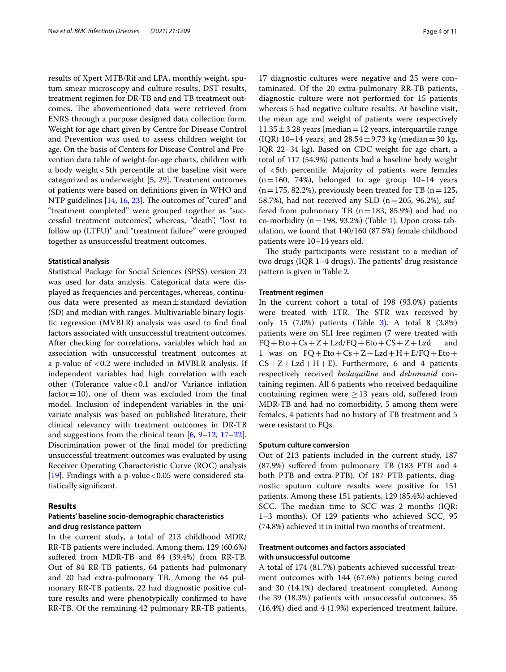results of Xpert MTB/Rif and LPA, monthly weight, sputum smear microscopy and culture results, DST results, treatment regimen for DR-TB and end TB treatment outcomes. The abovementioned data were retrieved from ENRS through a purpose designed data collection form. Weight for age chart given by Centre for Disease Control and Prevention was used to assess children weight for age. On the basis of Centers for Disease Control and Prevention data table of weight-for-age charts, children with a body weight <5th percentile at the baseline visit were categorized as underweight [\[5](#page-9-4), [29](#page-10-14)]. Treatment outcomes of patients were based on defnitions given in WHO and NTP guidelines [\[14,](#page-10-2) [16](#page-10-4), [23\]](#page-10-7). The outcomes of "cured" and "treatment completed" were grouped together as "successful treatment outcomes", whereas, "death", "lost to follow up (LTFU)" and "treatment failure" were grouped together as unsuccessful treatment outcomes.

### **Statistical analysis**

Statistical Package for Social Sciences (SPSS) version 23 was used for data analysis. Categorical data were displayed as frequencies and percentages, whereas, continuous data were presented as mean $\pm$ standard deviation (SD) and median with ranges. Multivariable binary logistic regression (MVBLR) analysis was used to fnd fnal factors associated with unsuccessful treatment outcomes. After checking for correlations, variables which had an association with unsuccessful treatment outcomes at a p-value of <0.2 were included in MVBLR analysis. If independent variables had high correlation with each other (Tolerance value<0.1 and/or Variance infation  $factor = 10$ , one of them was excluded from the final model. Inclusion of independent variables in the univariate analysis was based on published literature, their clinical relevancy with treatment outcomes in DR-TB and suggestions from the clinical team [\[6](#page-9-5), [9](#page-9-7)[–12](#page-10-0), [17](#page-10-5)[–22](#page-10-6)]. Discrimination power of the fnal model for predicting unsuccessful treatment outcomes was evaluated by using Receiver Operating Characteristic Curve (ROC) analysis [[19\]](#page-10-15). Findings with a p-value <  $0.05$  were considered statistically signifcant.

### **Results**

### **Patients' baseline socio‑demographic characteristics and drug resistance pattern**

In the current study, a total of 213 childhood MDR/ RR-TB patients were included. Among them, 129 (60.6%) sufered from MDR-TB and 84 (39.4%) from RR-TB. Out of 84 RR-TB patients, 64 patients had pulmonary and 20 had extra-pulmonary TB. Among the 64 pulmonary RR-TB patients, 22 had diagnostic positive culture results and were phenotypically confrmed to have RR-TB. Of the remaining 42 pulmonary RR-TB patients,

17 diagnostic cultures were negative and 25 were contaminated. Of the 20 extra-pulmonary RR-TB patients, diagnostic culture were not performed for 15 patients whereas 5 had negative culture results. At baseline visit, the mean age and weight of patients were respectively  $11.35 \pm 3.28$  years [median = 12 years, interquartile range (IQR) 10–14 years] and  $28.54 \pm 9.73$  kg (median = 30 kg, IQR 22–34 kg). Based on CDC weight for age chart, a total of 117 (54.9%) patients had a baseline body weight of <5th percentile. Majority of patients were females  $(n=160, 74%)$ , belonged to age group  $10-14$  years  $(n=175, 82.2\%)$ , previously been treated for TB  $(n=125,$ 58.7%), had not received any SLD ( $n=205$ , 96.2%), suffered from pulmonary TB  $(n=183, 85.9%)$  and had no co-morbidity ( $n=198$  $n=198$  $n=198$ , 93.2%) (Table 1). Upon cross-tabulation, we found that 140/160 (87.5%) female childhood patients were 10–14 years old.

The study participants were resistant to a median of two drugs (IQR  $1-4$  drugs). The patients' drug resistance pattern is given in Table [2.](#page-4-1)

### **Treatment regimen**

In the current cohort a total of 198 (93.0%) patients were treated with LTR. The STR was received by only 15 (7.0%) patients (Table [3](#page-5-0)). A total 8 (3.8%) patients were on SLI free regimen (7 were treated with  $FQ + Eto +Cs + Z + Lzd/FQ + Eto + CS + Z + Lzd$  and 1 was on  $FQ + Eto +Cs + Z + Lzd + H + E/FO + Eto +$  $CS+Z+Lzd+H+E$ ). Furthermore, 6 and 4 patients respectively received *bedaquiline* and *delamanid* containing regimen. All 6 patients who received bedaquiline containing regimen were  $\geq$  13 years old, suffered from MDR-TB and had no comorbidity, 5 among them were females, 4 patients had no history of TB treatment and 5 were resistant to FQs.

### **Sputum culture conversion**

Out of 213 patients included in the current study, 187 (87.9%) sufered from pulmonary TB (183 PTB and 4 both PTB and extra-PTB). Of 187 PTB patients, diagnostic sputum culture results were positive for 151 patients. Among these 151 patients, 129 (85.4%) achieved SCC. The median time to SCC was 2 months (IQR: 1–3 months). Of 129 patients who achieved SCC, 95 (74.8%) achieved it in initial two months of treatment.

### **Treatment outcomes and factors associated with unsuccessful outcome**

A total of 174 (81.7%) patients achieved successful treatment outcomes with 144 (67.6%) patients being cured and 30 (14.1%) declared treatment completed. Among the 39 (18.3%) patients with unsuccessful outcomes, 35 (16.4%) died and 4 (1.9%) experienced treatment failure.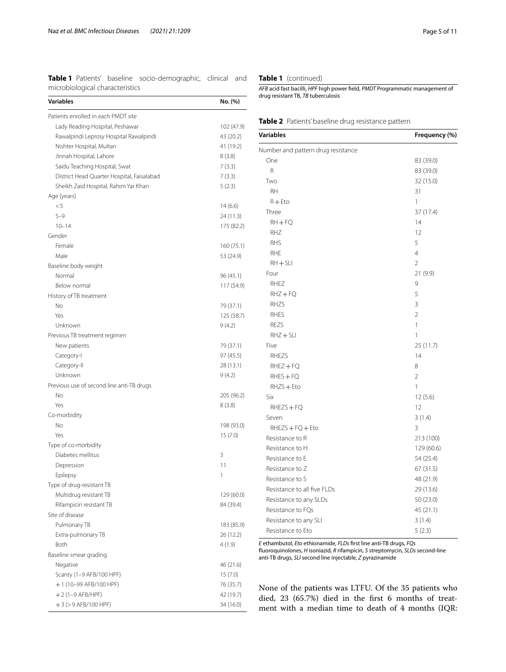<span id="page-4-0"></span>**Table 1** Patients' baseline socio-demographic, clinical and microbiological characteristics

| Variables                                                              | No. (%)                             |
|------------------------------------------------------------------------|-------------------------------------|
| Patients enrolled in each PMDT site                                    |                                     |
| Lady Reading Hospital, Peshawar                                        | 102 (47.9)                          |
| Rawalpindi Leprosy Hospital Rawalpindi                                 | 43 (20.2)                           |
| Nishter Hospital, Multan                                               | 41 (19.2)                           |
| Jinnah Hospital, Lahore                                                | 8 (3.8)                             |
| Saidu Teaching Hospital, Swat                                          | 7(3.3)                              |
| District Head Quarter Hospital, Faisalabad                             | 7(3.3)                              |
| Sheikh Zaid Hospital, Rahim Yar Khan                                   | 5(2.3)                              |
| Age (years)                                                            |                                     |
| < 5                                                                    | 14 (6.6)                            |
| $5 - 9$                                                                | 24 (11.3)                           |
| $10 - 14$                                                              | 175 (82.2)                          |
| Gender                                                                 |                                     |
| Female                                                                 | 160 (75.1)                          |
| Male                                                                   | 53 (24.9)                           |
| Baseline body weight                                                   |                                     |
| Normal                                                                 | 96 (45.1)                           |
| Below normal                                                           | 117 (54.9)                          |
| History of TB treatment                                                |                                     |
| <b>No</b>                                                              | 79 (37.1)                           |
| Yes                                                                    | 125 (58.7)                          |
| Unknown                                                                | 9(4.2)                              |
| Previous TB treatment regimen                                          |                                     |
| New patients                                                           | 79 (37.1)                           |
| Category-I                                                             | 97 (45.5)                           |
| Category-II                                                            | 28 (13.1)                           |
| Unknown                                                                | 9(4.2)                              |
| Previous use of second line anti-TB drugs                              |                                     |
| <b>No</b>                                                              | 205 (96.2)                          |
| Yes                                                                    | 8(3.8)                              |
| Co-morbidity                                                           |                                     |
| <b>No</b>                                                              | 198 (93.0)                          |
| Yes                                                                    | 15(7.0)                             |
| Type of co-morbidity                                                   |                                     |
| Diabetes mellitus                                                      | 3                                   |
| Depression                                                             | 11                                  |
| Epilepsy                                                               | 1                                   |
| Type of drug-resistant TB                                              |                                     |
| Multidrug resistant TB                                                 | 129 (60.0)                          |
| Rifampicin resistant TB                                                | 84 (39.4)                           |
| Site of disease                                                        |                                     |
| Pulmonary TB                                                           | 183 (85.9)                          |
| Extra-pulmonary TB                                                     | 26 (12.2)                           |
| Both                                                                   | 4 (1.9)                             |
| Baseline smear grading                                                 |                                     |
| Negative                                                               | 46 (21.6)                           |
| Scanty (1-9 AFB/100 HPF)                                               | 15 (7.0)                            |
|                                                                        |                                     |
|                                                                        |                                     |
|                                                                        |                                     |
| +1 (10-99 AFB/100 HPF)<br>$+2$ (1-9 AFB/HPF)<br>$+3$ (> 9 AFB/100 HPF) | 76 (35.7)<br>42 (19.7)<br>34 (16.0) |

**Table 1** (continued)

*AFB* acid fast bacilli, *HPF* high power feld, *PMDT* Programmatic management of drug resistant TB, *TB* tuberculosis

<span id="page-4-1"></span>

| Table 2 Patients' baseline drug resistance pattern |  |
|----------------------------------------------------|--|
|----------------------------------------------------|--|

| <b>Variables</b>                   | Frequency (%)  |
|------------------------------------|----------------|
| Number and pattern drug resistance |                |
| One                                | 83 (39.0)      |
| R                                  | 83 (39.0)      |
| Two                                | 32 (15.0)      |
| <b>RH</b>                          | 31             |
| $R + Eto$                          | 1              |
| Three                              | 37 (17.4)      |
| $RH + FQ$                          | 14             |
| RHZ                                | 12             |
| <b>RHS</b>                         | 5              |
| RHE                                | $\overline{4}$ |
| $RH + SLI$                         | $\overline{2}$ |
| Four                               | 21 (9.9)       |
| RHEZ                               | 9              |
| $RHZ + FQ$                         | 5              |
| <b>RHZS</b>                        | 3              |
| <b>RHES</b>                        | $\overline{2}$ |
| <b>REZS</b>                        | $\mathbf{1}$   |
| $RHZ + SLI$                        | 1              |
| Five                               | 25 (11.7)      |
| <b>RHEZS</b>                       | 14             |
| $RHEZ + FQ$                        | 8              |
| $RHES + FQ$                        | $\overline{2}$ |
| $RHZS + Eto$                       | 1              |
| Six                                | 12(5.6)        |
| $RHEZS + FQ$                       | 12             |
| Seven                              | 3(1.4)         |
| $RHEZS + FQ + Eto$                 | 3              |
| Resistance to R                    | 213 (100)      |
| Resistance to H                    | 129 (60.6)     |
| Resistance to E                    | 54 (25.4)      |
| Resistance to Z                    | 67 (31.5)      |
| Resistance to S                    | 48 (21.9)      |
| Resistance to all five FLDs        | 29 (13.6)      |
| Resistance to any SLDs             | 50 (23.0)      |
| Resistance to FQs                  | 45 (21.1)      |
| Resistance to any SLI              | 3(1.4)         |
| Resistance to Eto                  | 5(2.3)         |

*E* ethambutol, *Eto* ethionamide, *FLDs* frst line anti-TB drugs, *FQs* fuoroquinolones, *H* isoniazid, *R* rifampicin, *S* streptomycin, *SLDs* second-line anti-TB drugs, *SLI* second line injectable, *Z* pyrazinamide

None of the patients was LTFU. Of the 35 patients who died, 23 (65.7%) died in the frst 6 months of treatment with a median time to death of 4 months (IQR: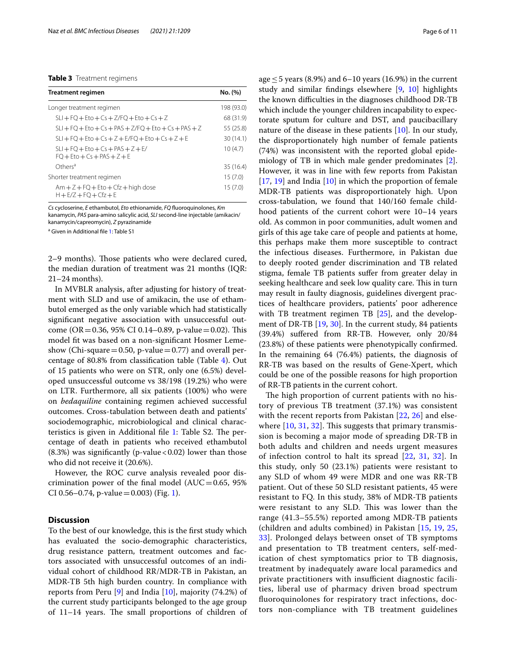### <span id="page-5-0"></span>**Table 3** Treatment regimens

| <b>Treatment regimen</b>                                              | No. (%)    |
|-----------------------------------------------------------------------|------------|
| Longer treatment regimen                                              | 198 (93.0) |
| $SLI + FO + Eto + Cs + Z/FO + Eto + Cs + Z$                           | 68 (31.9)  |
| $SLI + FO + Eto + Cs + PAS + Z/FO + Eto + Cs + PAS + Z$               | 55 (25.8)  |
| $SLI + FO + Eto + Cs + Z + E/FO + Eto + Cs + Z + E$                   | 30 (14.1)  |
| $SLI + FO + Eto + Cs + PAS + Z + E/$<br>$FO + Fto + Cs + PAS + 7 + F$ | 10(4.7)    |
| Others <sup>a</sup>                                                   | 35 (16.4)  |
| Shorter treatment regimen                                             | 15(7.0)    |
| $Am + Z + FQ + Eto + Cfz + high dose$<br>$H + E/Z + FO + CfZ + E$     | 15(7.0)    |

*Cs* cycloserine, *E* ethambutol, *Eto* ethionamide, *FQ* fuoroquinolones, *Km* kanamycin, *PAS* para-amino salicylic acid, *SLI* second-line injectable (amikacin/ kanamycin/capreomycin), *Z* pyrazinamide

<sup>a</sup> Given in Additional file [1:](#page-9-10) Table S1

2–9 months). Those patients who were declared cured, the median duration of treatment was 21 months (IQR: 21–24 months).

In MVBLR analysis, after adjusting for history of treatment with SLD and use of amikacin, the use of ethambutol emerged as the only variable which had statistically signifcant negative association with unsuccessful outcome (OR = 0.36, 95% CI 0.14–0.89, p-value = 0.02). This model ft was based on a non-signifcant Hosmer Lemeshow (Chi-square = 0.50, p-value = 0.77) and overall percentage of 80.8% from classifcation table (Table [4](#page-6-0)). Out of 15 patients who were on STR, only one (6.5%) developed unsuccessful outcome vs 38/198 (19.2%) who were on LTR. Furthermore, all six patients (100%) who were on *bedaquiline* containing regimen achieved successful outcomes. Cross-tabulation between death and patients' sociodemographic, microbiological and clinical characteristics is given in Additional file  $1$ : Table S2. The percentage of death in patients who received ethambutol  $(8.3%)$  was significantly (p-value < 0.02) lower than those who did not receive it (20.6%).

However, the ROC curve analysis revealed poor discrimination power of the final model ( $AUC=0.65$ , 95% CI 0.56–0.74, p-value = 0.003) (Fig. [1\)](#page-8-0).

### **Discussion**

To the best of our knowledge, this is the frst study which has evaluated the socio-demographic characteristics, drug resistance pattern, treatment outcomes and factors associated with unsuccessful outcomes of an individual cohort of childhood RR/MDR-TB in Pakistan, an MDR-TB 5th high burden country. In compliance with reports from Peru [\[9](#page-9-7)] and India [[10\]](#page-9-8), majority (74.2%) of the current study participants belonged to the age group of  $11-14$  years. The small proportions of children of age  $\leq$  5 years (8.9%) and 6–10 years (16.9%) in the current study and similar fndings elsewhere [[9,](#page-9-7) [10](#page-9-8)] highlights the known difficulties in the diagnoses childhood DR-TB which include the younger children incapability to expectorate sputum for culture and DST, and paucibacillary nature of the disease in these patients [[10](#page-9-8)]. In our study, the disproportionately high number of female patients (74%) was inconsistent with the reported global epidemiology of TB in which male gender predominates [\[2](#page-9-1)]. However, it was in line with few reports from Pakistan [[17,](#page-10-5) [19\]](#page-10-15) and India [\[10](#page-9-8)] in which the proportion of female MDR-TB patients was disproportionately high. Upon cross-tabulation, we found that 140/160 female childhood patients of the current cohort were 10–14 years old. As common in poor communities, adult women and girls of this age take care of people and patients at home, this perhaps make them more susceptible to contract the infectious diseases. Furthermore, in Pakistan due to deeply rooted gender discrimination and TB related stigma, female TB patients sufer from greater delay in seeking healthcare and seek low quality care. This in turn may result in faulty diagnosis, guidelines divergent practices of healthcare providers, patients' poor adherence with TB treatment regimen TB [[25\]](#page-10-10), and the development of DR-TB [\[19,](#page-10-15) [30\]](#page-10-16). In the current study, 84 patients (39.4%) sufered from RR-TB. However, only 20/84 (23.8%) of these patients were phenotypically confrmed. In the remaining 64 (76.4%) patients, the diagnosis of RR-TB was based on the results of Gene-Xpert, which could be one of the possible reasons for high proportion of RR-TB patients in the current cohort.

The high proportion of current patients with no history of previous TB treatment (37.1%) was consistent with the recent reports from Pakistan [[22,](#page-10-6) [26\]](#page-10-11) and elsewhere  $[10, 31, 32]$  $[10, 31, 32]$  $[10, 31, 32]$  $[10, 31, 32]$  $[10, 31, 32]$  $[10, 31, 32]$ . This suggests that primary transmission is becoming a major mode of spreading DR-TB in both adults and children and needs urgent measures of infection control to halt its spread [[22,](#page-10-6) [31](#page-10-17), [32\]](#page-10-18). In this study, only 50 (23.1%) patients were resistant to any SLD of whom 49 were MDR and one was RR-TB patient. Out of these 50 SLD resistant patients, 45 were resistant to FQ. In this study, 38% of MDR-TB patients were resistant to any SLD. This was lower than the range (41.3–55.5%) reported among MDR-TB patients (children and adults combined) in Pakistan [\[15](#page-10-3), [19,](#page-10-15) [25](#page-10-10), [33\]](#page-10-19). Prolonged delays between onset of TB symptoms and presentation to TB treatment centers, self-medication of chest symptomatics prior to TB diagnosis, treatment by inadequately aware local paramedics and private practitioners with insufficient diagnostic facilities, liberal use of pharmacy driven broad spectrum fuoroquinolones for respiratory tract infections, doctors non-compliance with TB treatment guidelines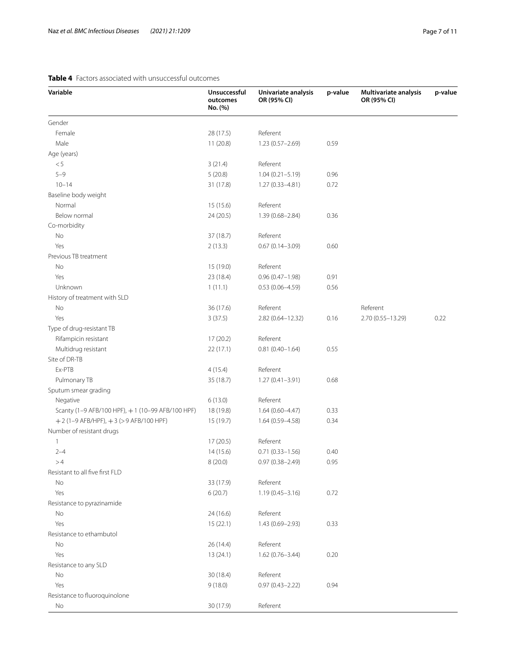### <span id="page-6-0"></span>**Table 4** Factors associated with unsuccessful outcomes

| Variable                                         | Unsuccessful<br>outcomes<br>No. (%) | Univariate analysis<br>OR (95% CI) | p-value | Multivariate analysis<br>OR (95% CI) | p-value |
|--------------------------------------------------|-------------------------------------|------------------------------------|---------|--------------------------------------|---------|
| Gender                                           |                                     |                                    |         |                                      |         |
| Female                                           | 28 (17.5)                           | Referent                           |         |                                      |         |
| Male                                             | 11(20.8)                            | 1.23 (0.57-2.69)                   | 0.59    |                                      |         |
| Age (years)                                      |                                     |                                    |         |                                      |         |
| $< 5\,$                                          | 3(21.4)                             | Referent                           |         |                                      |         |
| $5 - 9$                                          | 5(20.8)                             | $1.04(0.21 - 5.19)$                | 0.96    |                                      |         |
| $10 - 14$                                        | 31 (17.8)                           | $1.27(0.33 - 4.81)$                | 0.72    |                                      |         |
| Baseline body weight                             |                                     |                                    |         |                                      |         |
| Normal                                           | 15 (15.6)                           | Referent                           |         |                                      |         |
| Below normal                                     | 24 (20.5)                           | 1.39 (0.68-2.84)                   | 0.36    |                                      |         |
| Co-morbidity                                     |                                     |                                    |         |                                      |         |
| No                                               | 37 (18.7)                           | Referent                           |         |                                      |         |
| Yes                                              | 2(13.3)                             | $0.67(0.14 - 3.09)$                | 0.60    |                                      |         |
| Previous TB treatment                            |                                     |                                    |         |                                      |         |
| No                                               | 15 (19.0)                           | Referent                           |         |                                      |         |
| Yes                                              | 23 (18.4)                           | $0.96(0.47 - 1.98)$                | 0.91    |                                      |         |
| Unknown                                          | 1(11.1)                             | $0.53(0.06 - 4.59)$                | 0.56    |                                      |         |
| History of treatment with SLD                    |                                     |                                    |         |                                      |         |
| No                                               | 36 (17.6)                           | Referent                           |         | Referent                             |         |
| Yes                                              | 3(37.5)                             | 2.82 (0.64-12.32)                  | 0.16    | 2.70 (0.55-13.29)                    | 0.22    |
| Type of drug-resistant TB                        |                                     |                                    |         |                                      |         |
| Rifampicin resistant                             | 17 (20.2)                           | Referent                           |         |                                      |         |
| Multidrug resistant                              | 22(17.1)                            | $0.81(0.40 - 1.64)$                | 0.55    |                                      |         |
| Site of DR-TB                                    |                                     |                                    |         |                                      |         |
| Ex-PTB                                           | 4(15.4)                             | Referent                           |         |                                      |         |
| Pulmonary TB                                     | 35 (18.7)                           | $1.27(0.41 - 3.91)$                | 0.68    |                                      |         |
| Sputum smear grading                             |                                     |                                    |         |                                      |         |
| Negative                                         | 6(13.0)                             | Referent                           |         |                                      |         |
| Scanty (1-9 AFB/100 HPF), +1 (10-99 AFB/100 HPF) | 18 (19.8)                           | $1.64(0.60 - 4.47)$                | 0.33    |                                      |         |
| $+2$ (1-9 AFB/HPF), $+3$ (> 9 AFB/100 HPF)       | 15 (19.7)                           | $1.64(0.59 - 4.58)$                | 0.34    |                                      |         |
| Number of resistant drugs                        |                                     |                                    |         |                                      |         |
| 1                                                | 17 (20.5)                           | Referent                           |         |                                      |         |
| $2 - 4$                                          | 14(15.6)                            | $0.71(0.33 - 1.56)$                | 0.40    |                                      |         |
| >4                                               | 8 (20.0)                            | $0.97(0.38 - 2.49)$                | 0.95    |                                      |         |
| Resistant to all five first FLD                  |                                     |                                    |         |                                      |         |
| No                                               | 33 (17.9)                           | Referent                           |         |                                      |         |
| Yes                                              | 6(20.7)                             | $1.19(0.45 - 3.16)$                | 0.72    |                                      |         |
| Resistance to pyrazinamide                       |                                     |                                    |         |                                      |         |
| No                                               | 24 (16.6)                           | Referent                           |         |                                      |         |
| Yes                                              | 15(22.1)                            | 1.43 (0.69-2.93)                   | 0.33    |                                      |         |
| Resistance to ethambutol                         |                                     |                                    |         |                                      |         |
| No                                               | 26 (14.4)                           | Referent                           |         |                                      |         |
| Yes                                              | 13(24.1)                            | 1.62 (0.76-3.44)                   | 0.20    |                                      |         |
| Resistance to any SLD                            |                                     |                                    |         |                                      |         |
| No                                               | 30 (18.4)                           | Referent                           |         |                                      |         |
| Yes                                              | 9(18.0)                             | $0.97(0.43 - 2.22)$                | 0.94    |                                      |         |
| Resistance to fluoroquinolone                    |                                     |                                    |         |                                      |         |
| No                                               | 30 (17.9)                           | Referent                           |         |                                      |         |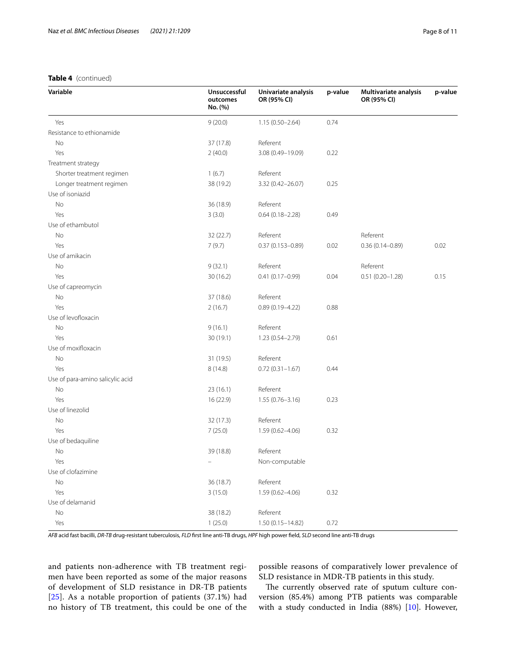### **Table 4** (continued)

| Variable                         | Unsuccessful<br>outcomes<br>No. (%) | Univariate analysis<br>OR (95% CI) | p-value | Multivariate analysis<br>OR (95% CI) | p-value |
|----------------------------------|-------------------------------------|------------------------------------|---------|--------------------------------------|---------|
| Yes                              | 9(20.0)                             | $1.15(0.50 - 2.64)$                | 0.74    |                                      |         |
| Resistance to ethionamide        |                                     |                                    |         |                                      |         |
| No                               | 37 (17.8)                           | Referent                           |         |                                      |         |
| Yes                              | 2(40.0)                             | 3.08 (0.49-19.09)                  | 0.22    |                                      |         |
| Treatment strategy               |                                     |                                    |         |                                      |         |
| Shorter treatment regimen        | 1(6.7)                              | Referent                           |         |                                      |         |
| Longer treatment regimen         | 38 (19.2)                           | 3.32 (0.42-26.07)                  | 0.25    |                                      |         |
| Use of isoniazid                 |                                     |                                    |         |                                      |         |
| No                               | 36 (18.9)                           | Referent                           |         |                                      |         |
| Yes                              | 3(3.0)                              | $0.64(0.18 - 2.28)$                | 0.49    |                                      |         |
| Use of ethambutol                |                                     |                                    |         |                                      |         |
| No                               | 32(22.7)                            | Referent                           |         | Referent                             |         |
| Yes                              | 7(9.7)                              | $0.37(0.153 - 0.89)$               | 0.02    | $0.36(0.14 - 0.89)$                  | 0.02    |
| Use of amikacin                  |                                     |                                    |         |                                      |         |
| No                               | 9(32.1)                             | Referent                           |         | Referent                             |         |
| Yes                              | 30(16.2)                            | $0.41(0.17 - 0.99)$                | 0.04    | $0.51(0.20 - 1.28)$                  | 0.15    |
| Use of capreomycin               |                                     |                                    |         |                                      |         |
| No                               | 37 (18.6)                           | Referent                           |         |                                      |         |
| Yes                              | 2(16.7)                             | $0.89(0.19 - 4.22)$                | 0.88    |                                      |         |
| Use of levofloxacin              |                                     |                                    |         |                                      |         |
| No                               | 9(16.1)                             | Referent                           |         |                                      |         |
| Yes                              | 30(19.1)                            | 1.23 (0.54-2.79)                   | 0.61    |                                      |         |
| Use of moxifloxacin              |                                     |                                    |         |                                      |         |
| No                               | 31 (19.5)                           | Referent                           |         |                                      |         |
| Yes                              | 8(14.8)                             | $0.72(0.31 - 1.67)$                | 0.44    |                                      |         |
| Use of para-amino salicylic acid |                                     |                                    |         |                                      |         |
| No                               | 23(16.1)                            | Referent                           |         |                                      |         |
| Yes                              | 16 (22.9)                           | $1.55(0.76 - 3.16)$                | 0.23    |                                      |         |
| Use of linezolid                 |                                     |                                    |         |                                      |         |
| No                               | 32 (17.3)                           | Referent                           |         |                                      |         |
| Yes                              | 7(25.0)                             | $1.59(0.62 - 4.06)$                | 0.32    |                                      |         |
| Use of bedaquiline               |                                     |                                    |         |                                      |         |
| No                               | 39 (18.8)                           | Referent                           |         |                                      |         |
| Yes                              |                                     | Non-computable                     |         |                                      |         |
| Use of clofazimine               |                                     |                                    |         |                                      |         |
| No                               | 36 (18.7)                           | Referent                           |         |                                      |         |
| Yes                              | 3(15.0)                             | 1.59 (0.62-4.06)                   | 0.32    |                                      |         |
| Use of delamanid                 |                                     |                                    |         |                                      |         |
| No                               | 38 (18.2)                           | Referent                           |         |                                      |         |
| Yes                              | 1(25.0)                             | 1.50 (0.15-14.82)                  | 0.72    |                                      |         |

*AFB* acid fast bacilli, *DR-TB* drug-resistant tuberculosis, *FLD* frst line anti-TB drugs, *HPF* high power feld, *SLD* second line anti-TB drugs

and patients non-adherence with TB treatment regimen have been reported as some of the major reasons of development of SLD resistance in DR-TB patients [[25](#page-10-10)]. As a notable proportion of patients (37.1%) had no history of TB treatment, this could be one of the possible reasons of comparatively lower prevalence of SLD resistance in MDR-TB patients in this study.

The currently observed rate of sputum culture conversion (85.4%) among PTB patients was comparable with a study conducted in India (88%) [\[10](#page-9-8)]. However,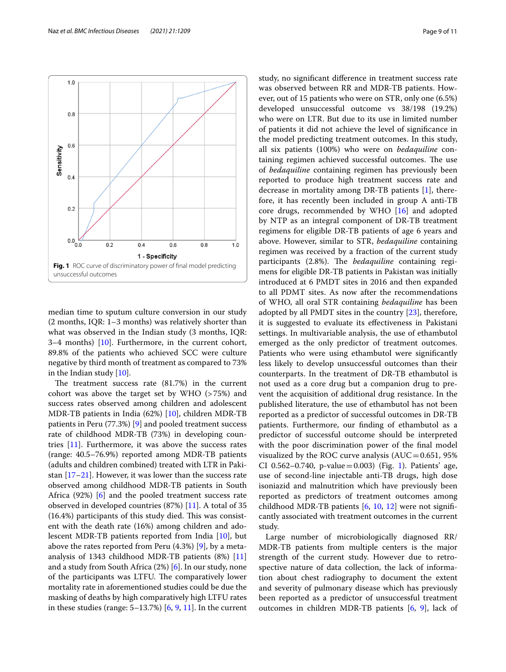

<span id="page-8-0"></span>median time to sputum culture conversion in our study (2 months, IQR: 1–3 months) was relatively shorter than what was observed in the Indian study (3 months, IQR: 3–4 months) [\[10](#page-9-8)]. Furthermore, in the current cohort, 89.8% of the patients who achieved SCC were culture negative by third month of treatment as compared to 73% in the Indian study [[10\]](#page-9-8).

The treatment success rate  $(81.7%)$  in the current cohort was above the target set by WHO (>75%) and success rates observed among children and adolescent MDR-TB patients in India (62%) [[10](#page-9-8)], children MDR-TB patients in Peru (77.3%) [\[9](#page-9-7)] and pooled treatment success rate of childhood MDR-TB (73%) in developing countries [\[11](#page-9-9)]. Furthermore, it was above the success rates (range: 40.5–76.9%) reported among MDR-TB patients (adults and children combined) treated with LTR in Pakistan  $[17–21]$  $[17–21]$  $[17–21]$ . However, it was lower than the success rate observed among childhood MDR-TB patients in South Africa (92%) [\[6](#page-9-5)] and the pooled treatment success rate observed in developed countries (87%) [\[11](#page-9-9)]. A total of 35  $(16.4%)$  participants of this study died. This was consistent with the death rate (16%) among children and adolescent MDR-TB patients reported from India [[10\]](#page-9-8), but above the rates reported from Peru (4.3%) [\[9](#page-9-7)], by a metaanalysis of 1343 childhood MDR-TB patients (8%) [[11](#page-9-9)] and a study from South Africa (2%) [\[6](#page-9-5)]. In our study, none of the participants was LTFU. The comparatively lower mortality rate in aforementioned studies could be due the masking of deaths by high comparatively high LTFU rates in these studies (range:  $5-13.7%$ )  $[6, 9, 11]$  $[6, 9, 11]$  $[6, 9, 11]$  $[6, 9, 11]$  $[6, 9, 11]$  $[6, 9, 11]$ . In the current study, no signifcant diference in treatment success rate was observed between RR and MDR-TB patients. However, out of 15 patients who were on STR, only one (6.5%) developed unsuccessful outcome vs 38/198 (19.2%) who were on LTR. But due to its use in limited number of patients it did not achieve the level of signifcance in the model predicting treatment outcomes. In this study, all six patients (100%) who were on *bedaquiline* containing regimen achieved successful outcomes. The use of *bedaquiline* containing regimen has previously been reported to produce high treatment success rate and decrease in mortality among DR-TB patients [[1\]](#page-9-0), therefore, it has recently been included in group A anti-TB core drugs, recommended by WHO [\[16\]](#page-10-4) and adopted by NTP as an integral component of DR-TB treatment regimens for eligible DR-TB patients of age 6 years and above. However, similar to STR, *bedaquiline* containing regimen was received by a fraction of the current study participants (2.8%). The *bedaquiline* containing regimens for eligible DR-TB patients in Pakistan was initially introduced at 6 PMDT sites in 2016 and then expanded to all PDMT sites. As now after the recommendations of WHO, all oral STR containing *bedaquiline* has been adopted by all PMDT sites in the country [\[23\]](#page-10-7), therefore, it is suggested to evaluate its efectiveness in Pakistani settings. In multivariable analysis, the use of ethambutol emerged as the only predictor of treatment outcomes. Patients who were using ethambutol were signifcantly less likely to develop unsuccessful outcomes than their counterparts. In the treatment of DR-TB ethambutol is not used as a core drug but a companion drug to prevent the acquisition of additional drug resistance. In the published literature, the use of ethambutol has not been reported as a predictor of successful outcomes in DR-TB patients. Furthermore, our fnding of ethambutol as a predictor of successful outcome should be interpreted with the poor discrimination power of the fnal model visualized by the ROC curve analysis ( $AUC=0.651$ , 95% CI 0.562-0.740, p-value=0.003) (Fig. [1\)](#page-8-0). Patients' age, use of second-line injectable anti-TB drugs, high dose isoniazid and malnutrition which have previously been reported as predictors of treatment outcomes among childhood MDR-TB patients [\[6](#page-9-5), [10](#page-9-8), [12](#page-10-0)] were not signifcantly associated with treatment outcomes in the current study.

Large number of microbiologically diagnosed RR/ MDR-TB patients from multiple centers is the major strength of the current study. However due to retrospective nature of data collection, the lack of information about chest radiography to document the extent and severity of pulmonary disease which has previously been reported as a predictor of unsuccessful treatment outcomes in children MDR-TB patients [[6,](#page-9-5) [9\]](#page-9-7), lack of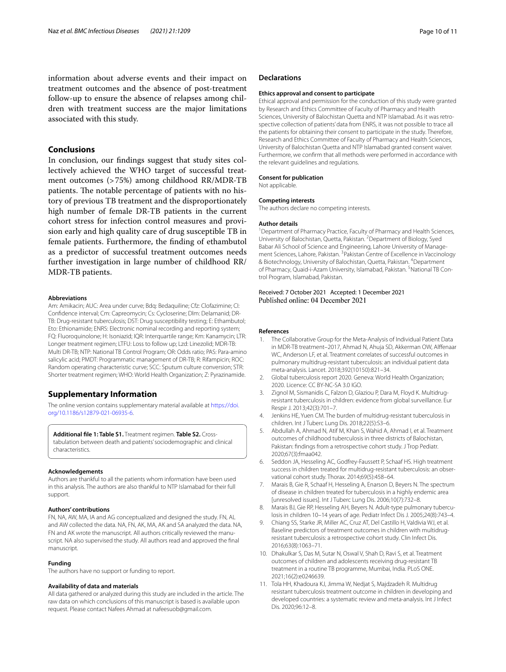information about adverse events and their impact on treatment outcomes and the absence of post-treatment follow-up to ensure the absence of relapses among children with treatment success are the major limitations associated with this study.

### **Conclusions**

In conclusion, our fndings suggest that study sites collectively achieved the WHO target of successful treatment outcomes (>75%) among childhood RR/MDR-TB patients. The notable percentage of patients with no history of previous TB treatment and the disproportionately high number of female DR-TB patients in the current cohort stress for infection control measures and provision early and high quality care of drug susceptible TB in female patients. Furthermore, the fnding of ethambutol as a predictor of successful treatment outcomes needs further investigation in large number of childhood RR/ MDR-TB patients.

#### **Abbreviations**

Am: Amikacin; AUC: Area under curve; Bdq: Bedaquiline; Cfz: Clofazimine; CI: Confdence interval; Cm: Capreomycin; Cs: Cycloserine; Dlm: Delamanid; DR-TB: Drug-resistant tuberculosis; DST: Drug susceptibility testing; E: Ethambutol; Eto: Ethionamide; ENRS: Electronic nominal recording and reporting system; FQ: Fluoroquinolone; H: Isoniazid; IQR: Interquartile range; Km: Kanamycin; LTR: Longer treatment regimen; LTFU: Loss to follow up; Lzd: Linezolid; MDR-TB: Multi DR-TB; NTP: National TB Control Program; OR: Odds ratio; PAS: Para-amino salicylic acid; PMDT: Programmatic management of DR-TB; R: Rifampicin; ROC: Random operating characteristic curve; SCC: Sputum culture conversion; STR: Shorter treatment regimen; WHO: World Health Organization; Z: Pyrazinamide.

### **Supplementary Information**

The online version contains supplementary material available at [https://doi.](https://doi.org/10.1186/s12879-021-06935-6) [org/10.1186/s12879-021-06935-6](https://doi.org/10.1186/s12879-021-06935-6).

<span id="page-9-10"></span>**Additional fle 1: Table S1.** Treatment regimen. **Table S2.** Crosstabulation between death and patients' sociodemographic and clinical characteristics.

#### **Acknowledgements**

Authors are thankful to all the patients whom information have been used in this analysis. The authors are also thankful to NTP Islamabad for their full support.

#### **Authors' contributions**

FN, NA, AW, MA, IA and AG conceptualized and designed the study. FN, AL and AW collected the data. NA, FN, AK, MA, AK and SA analyzed the data. NA, FN and AK wrote the manuscript. All authors critically reviewed the manuscript. NA also supervised the study. All authors read and approved the fnal manuscript.

#### **Funding**

The authors have no support or funding to report.

### **Availability of data and materials**

All data gathered or analyzed during this study are included in the article. The raw data on which conclusions of this manuscript is based is available upon request. Please contact Nafees Ahmad at nafeesuob@gmail.com.

#### **Declarations**

#### **Ethics approval and consent to participate**

Ethical approval and permission for the conduction of this study were granted by Research and Ethics Committee of Faculty of Pharmacy and Health Sciences, University of Balochistan Quetta and NTP Islamabad. As it was retrospective collection of patients' data from ENRS, it was not possible to trace all the patients for obtaining their consent to participate in the study. Therefore, Research and Ethics Committee of Faculty of Pharmacy and Health Sciences, University of Balochistan Quetta and NTP Islamabad granted consent waiver. Furthermore, we confrm that all methods were performed in accordance with the relevant guidelines and regulations.

#### **Consent for publication**

Not applicable.

#### **Competing interests**

The authors declare no competing interests.

#### **Author details**

<sup>1</sup> Department of Pharmacy Practice, Faculty of Pharmacy and Health Sciences, University of Balochistan, Quetta, Pakistan. <sup>2</sup> Department of Biology, Syed Babar Ali School of Science and Engineering, Lahore University of Management Sciences, Lahore, Pakistan. <sup>3</sup> Pakistan Centre of Excellence in Vaccinology & Biotechnology, University of Balochistan, Quetta, Pakistan. <sup>4</sup>Department of Pharmacy, Quaid-i-Azam University, Islamabad, Pakistan. <sup>5</sup>National TB Control Program, Islamabad, Pakistan.

# Received: 7 October 2021 Accepted: 1 December 2021

#### **References**

- <span id="page-9-0"></span>The Collaborative Group for the Meta-Analysis of Individual Patient Data in MDR-TB treatment–2017, Ahmad N, Ahuja SD, Akkerman OW, Alfenaar WC, Anderson LF, et al. Treatment correlates of successful outcomes in pulmonary multidrug-resistant tuberculosis: an individual patient data meta-analysis. Lancet. 2018;392(10150):821–34.
- <span id="page-9-1"></span>2. Global tuberculosis report 2020. Geneva: World Health Organization; 2020. Licence: CC BY-NC-SA 3.0 IGO.
- <span id="page-9-2"></span>3. Zignol M, Sismanidis C, Falzon D, Glaziou P, Dara M, Floyd K. Multidrugresistant tuberculosis in children: evidence from global surveillance. Eur Respir J. 2013;42(3):701–7.
- <span id="page-9-3"></span>4. Jenkins HE, Yuen CM. The burden of multidrug-resistant tuberculosis in children. Int J Tuberc Lung Dis. 2018;22(5):S3–6.
- <span id="page-9-4"></span>5. Abdullah A, Ahmad N, Atif M, Khan S, Wahid A, Ahmad I, et al. Treatment outcomes of childhood tuberculosis in three districts of Balochistan, Pakistan: fndings from a retrospective cohort study. J Trop Pediatr. 2020;67(3):fmaa042.
- <span id="page-9-5"></span>6. Seddon JA, Hesseling AC, Godfrey-Faussett P, Schaaf HS. High treatment success in children treated for multidrug-resistant tuberculosis: an observational cohort study. Thorax. 2014;69(5):458–64.
- 7. Marais B, Gie R, Schaaf H, Hesseling A, Enarson D, Beyers N. The spectrum of disease in children treated for tuberculosis in a highly endemic area [unresolved issues]. Int J Tuberc Lung Dis. 2006;10(7):732–8.
- <span id="page-9-6"></span>8. Marais BJ, Gie RP, Hesseling AH, Beyers N. Adult-type pulmonary tuberculosis in children 10–14 years of age. Pediatr Infect Dis J. 2005;24(8):743–4.
- <span id="page-9-7"></span>Chiang SS, Starke JR, Miller AC, Cruz AT, Del Castillo H, Valdivia WJ, et al. Baseline predictors of treatment outcomes in children with multidrugresistant tuberculosis: a retrospective cohort study. Clin Infect Dis. 2016;63(8):1063–71.
- <span id="page-9-8"></span>10. Dhakulkar S, Das M, Sutar N, Oswal V, Shah D, Ravi S, et al. Treatment outcomes of children and adolescents receiving drug-resistant TB treatment in a routine TB programme, Mumbai, India. PLoS ONE. 2021;16(2):e0246639.
- <span id="page-9-9"></span>11. Tola HH, Khadoura KJ, Jimma W, Nedjat S, Majdzadeh R. Multidrug resistant tuberculosis treatment outcome in children in developing and developed countries: a systematic review and meta-analysis. Int J Infect Dis. 2020;96:12–8.